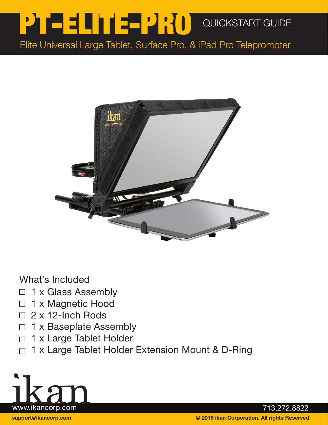## QUICKSTART GUIDE PT-ELITE-PRO

Elite Universal Large Tablet, Surface Pro, & iPad Pro Teleprompter



What's Included

- 1 x Glass Assembly  $\Box$
- 1 x Magnetic Hood  $\Box$
- $\Box$  2 x 12-lnch Rods
- 1 x Baseplate Assembly  $\Box$
- 1 x Large Tablet Holder  $\Box$
- □ 1 x Large Tablet Holder Extension Mount & D-Ring

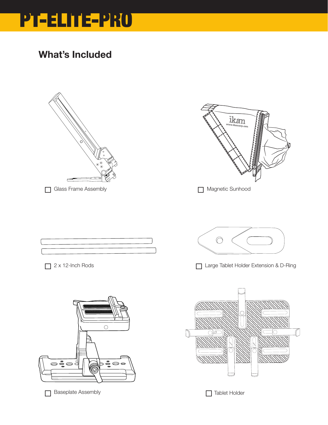

### What's Included





Magnetic Sunhood



 $\bigcirc$ 



□ 2 x 12-Inch Rods <br>
□ Large Tablet Holder Extension & D-Ring





□ Baseplate Assembly Tablet Holder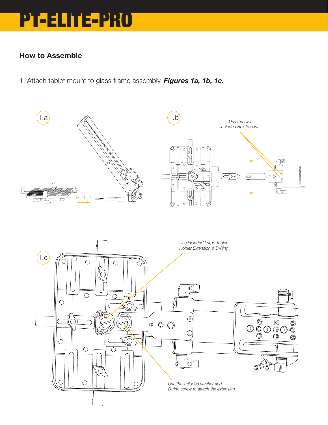## PT-ELITE-PRO

#### How to Assemble

1. Attach tablet mount to glass frame assembly. *Figures 1a, 1b, 1c.*

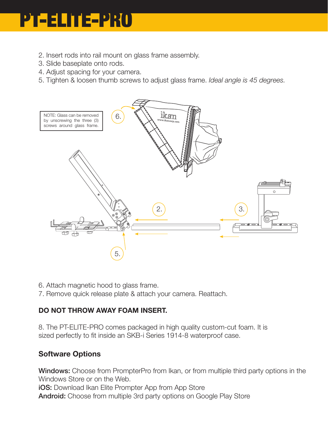# PT-ELITE-PRO

- 2. Insert rods into rail mount on glass frame assembly.
- 3. Slide baseplate onto rods.
- 4. Adjust spacing for your camera.
- 5. Tighten & loosen thumb screws to adjust glass frame. *Ideal angle is 45 degrees.*



- 6. Attach magnetic hood to glass frame.
- 7. Remove quick release plate & attach your camera. Reattach.

#### DO NOT THROW AWAY FOAM INSERT.

8. The PT-ELITE-PRO comes packaged in high quality custom-cut foam. It is sized perfectly to fit inside an SKB-i Series 1914-8 waterproof case.

#### Software Options

Windows: Choose from PrompterPro from Ikan, or from multiple third party options in the Windows Store or on the Web. **iOS:** Download Ikan Elite Prompter App from App Store Android: Choose from multiple 3rd party options on Google Play Store